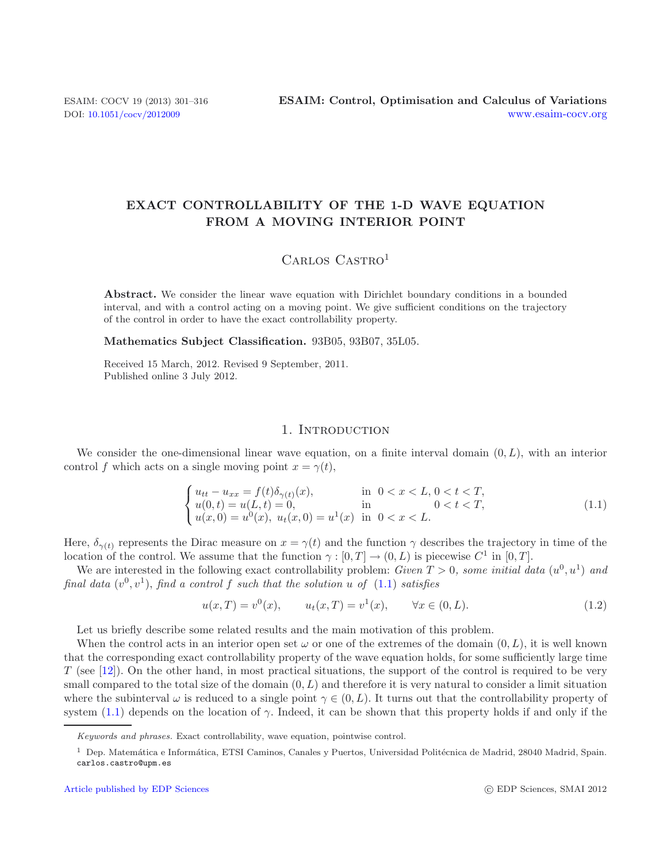# **EXACT CONTROLLABILITY OF THE 1-D WAVE EQUATION FROM A MOVING INTERIOR POINT**

# <span id="page-0-0"></span>CARLOS CASTRO<sup>1</sup>

**Abstract.** We consider the linear wave equation with Dirichlet boundary conditions in a bounded interval, and with a control acting on a moving point. We give sufficient conditions on the trajectory of the control in order to have the exact controllability property.

**Mathematics Subject Classification.** 93B05, 93B07, 35L05.

Received 15 March, 2012. Revised 9 September, 2011. Published online 3 July 2012.

## <span id="page-0-1"></span>1. INTRODUCTION

We consider the one-dimensional linear wave equation, on a finite interval domain  $(0, L)$ , with an interior control f which acts on a single moving point  $x = \gamma(t)$ ,

$$
\begin{cases}\nu_{tt} - u_{xx} = f(t)\delta_{\gamma(t)}(x), & \text{in } 0 < x < L, 0 < t < T, \\
u(0, t) = u(L, t) = 0, & \text{in } 0 < t < T, \\
u(x, 0) = u^0(x), u_t(x, 0) = u^1(x) & \text{in } 0 < x < L.\n\end{cases}
$$
\n(1.1)

Here,  $\delta_{\gamma(t)}$  represents the Dirac measure on  $x = \gamma(t)$  and the function  $\gamma$  describes the trajectory in time of the location of the control. We assume that the function  $\gamma : [0, T] \to (0, L)$  is piecewise  $C^1$  in [0, T].

We are interested in the following exact controllability problem: *Given*  $T > 0$ *, some initial data*  $(u^0, u^1)$  *and final data*  $(v^0, v^1)$ *, find a control f such that the solution* u of  $(1.1)$  *satisfies* 

 $u(x,T) = v^0(x), \qquad u_t(x,T) = v^1(x), \qquad \forall x \in (0,L).$  (1.2)

Let us briefly describe some related results and the main motivation of this problem.

When the control acts in an interior open set  $\omega$  or one of the extremes of the domain  $(0, L)$ , it is well known that the corresponding exact controllability property of the wave equation holds, for some sufficiently large time T (see [\[12](#page-15-0)]). On the other hand, in most practical situations, the support of the control is required to be very small compared to the total size of the domain  $(0, L)$  and therefore it is very natural to consider a limit situation where the subinterval  $\omega$  is reduced to a single point  $\gamma \in (0, L)$ . It turns out that the controllability property of system [\(1.1\)](#page-0-0) depends on the location of  $\gamma$ . Indeed, it can be shown that this property holds if and only if the

*Keywords and phrases.* Exact controllability, wave equation, pointwise control.

<sup>&</sup>lt;sup>1</sup> Dep. Matemática e Informática, ETSI Caminos, Canales y Puertos, Universidad Politécnica de Madrid, 28040 Madrid, Spain. carlos.castro@upm.es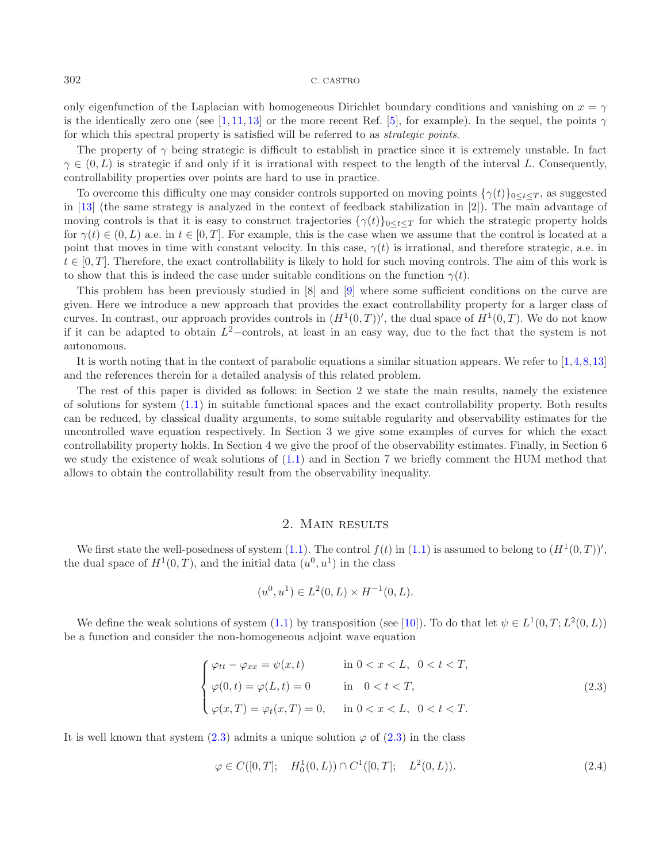only eigenfunction of the Laplacian with homogeneous Dirichlet boundary conditions and vanishing on  $x = \gamma$ is the identically zero one (see [\[1,](#page-15-1) [11,](#page-15-2) [13\]](#page-15-3) or the more recent Ref. [\[5\]](#page-15-4), for example). In the sequel, the points  $\gamma$ for which this spectral property is satisfied will be referred to as *strategic points*.

The property of  $\gamma$  being strategic is difficult to establish in practice since it is extremely unstable. In fact  $\gamma \in (0, L)$  is strategic if and only if it is irrational with respect to the length of the interval L. Consequently, controllability properties over points are hard to use in practice.

To overcome this difficulty one may consider controls supported on moving points  $\{\gamma(t)\}_{0\leq t\leq T}$ , as suggested in [\[13\]](#page-15-3) (the same strategy is analyzed in the context of feedback stabilization in [2]). The main advantage of moving controls is that it is easy to construct trajectories  $\{\gamma(t)\}_{0\leq t\leq T}$  for which the strategic property holds for  $\gamma(t) \in (0, L)$  a.e. in  $t \in [0, T]$ . For example, this is the case when we assume that the control is located at a point that moves in time with constant velocity. In this case,  $\gamma(t)$  is irrational, and therefore strategic, a.e. in  $t \in [0, T]$ . Therefore, the exact controllability is likely to hold for such moving controls. The aim of this work is to show that this is indeed the case under suitable conditions on the function  $\gamma(t)$ .

This problem has been previously studied in [8] and [\[9\]](#page-15-5) where some sufficient conditions on the curve are given. Here we introduce a new approach that provides the exact controllability property for a larger class of curves. In contrast, our approach provides controls in  $(H^1(0,T))'$ , the dual space of  $H^1(0,T)$ . We do not know if it can be adapted to obtain  $L^2$ –controls, at least in an easy way, due to the fact that the system is not autonomous.

It is worth noting that in the context of parabolic equations a similar situation appears. We refer to [\[1](#page-15-1)[,4](#page-15-6)[,8](#page-15-7)[,13\]](#page-15-3) and the references therein for a detailed analysis of this related problem.

The rest of this paper is divided as follows: in Section 2 we state the main results, namely the existence of solutions for system [\(1.1\)](#page-0-0) in suitable functional spaces and the exact controllability property. Both results can be reduced, by classical duality arguments, to some suitable regularity and observability estimates for the uncontrolled wave equation respectively. In Section 3 we give some examples of curves for which the exact controllability property holds. In Section 4 we give the proof of the observability estimates. Finally, in Section 6 we study the existence of weak solutions of [\(1.1\)](#page-0-0) and in Section 7 we briefly comment the HUM method that allows to obtain the controllability result from the observability inequality.

## <span id="page-1-0"></span>2. Main results

We first state the well-posedness of system [\(1.1\)](#page-0-0). The control  $f(t)$  in (1.1) is assumed to belong to  $(H^1(0,T))'$ , the dual space of  $H^1(0,T)$ , and the initial data  $(u^0, u^1)$  in the class

$$
(u^0, u^1) \in L^2(0, L) \times H^{-1}(0, L).
$$

We define the weak solutions of system [\(1.1\)](#page-0-0) by transposition (see [\[10\]](#page-15-8)). To do that let  $\psi \in L^1(0, T; L^2(0, L))$ be a function and consider the non-homogeneous adjoint wave equation

$$
\begin{cases}\n\varphi_{tt} - \varphi_{xx} = \psi(x, t) & \text{in } 0 < x < L, \ 0 < t < T, \\
\varphi(0, t) = \varphi(L, t) = 0 & \text{in } 0 < t < T, \\
\varphi(x, T) = \varphi_t(x, T) = 0, & \text{in } 0 < x < L, \ 0 < t < T.\n\end{cases}\n\tag{2.3}
$$

It is well known that system [\(2.3\)](#page-1-0) admits a unique solution  $\varphi$  of (2.3) in the class

$$
\varphi \in C([0, T]; \quad H_0^1(0, L)) \cap C^1([0, T]; \quad L^2(0, L)). \tag{2.4}
$$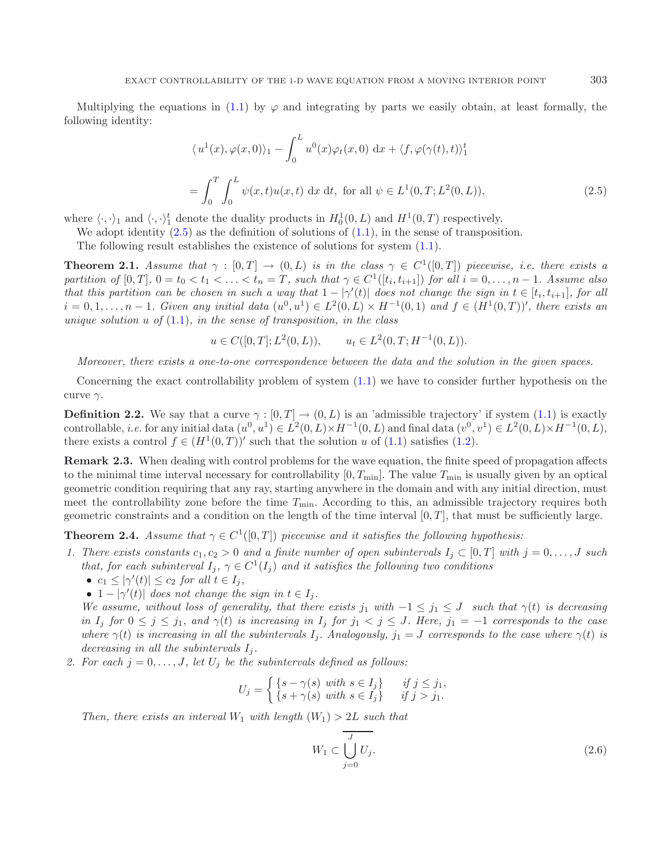<span id="page-2-0"></span>Multiplying the equations in [\(1.1\)](#page-0-0) by  $\varphi$  and integrating by parts we easily obtain, at least formally, the following identity:

$$
\langle u^{1}(x), \varphi(x, 0) \rangle_{1} - \int_{0}^{L} u^{0}(x) \varphi_{t}(x, 0) dx + \langle f, \varphi(\gamma(t), t) \rangle_{1}^{t}
$$
  
= 
$$
\int_{0}^{T} \int_{0}^{L} \psi(x, t) u(x, t) dx dt, \text{ for all } \psi \in L^{1}(0, T; L^{2}(0, L)),
$$
 (2.5)

where  $\langle \cdot, \cdot \rangle_1$  and  $\langle \cdot, \cdot \rangle_1^t$  denote the duality products in  $H_0^1(0, L)$  and  $H^1(0, T)$  respectively.

We adopt identity  $(2.5)$  as the definition of solutions of  $(1.1)$ , in the sense of transposition.

The following result establishes the existence of solutions for system [\(1.1\)](#page-0-0).

<span id="page-2-2"></span>**Theorem 2.1.** *Assume that*  $\gamma : [0, T] \rightarrow (0, L)$  *is in the class*  $\gamma \in C^1([0, T])$  *piecewise, i.e. there exists a partition of*  $[0, T]$ ,  $0 = t_0 < t_1 < \ldots < t_n = T$ , such that  $\gamma \in C^1([t_i, t_{i+1}])$  *for all*  $i = 0, \ldots, n-1$ *. Assume also that this partition can be chosen in such a way that*  $1 - |\gamma'(t)|$  *does not change the sign in*  $t \in [t_i, t_{i+1}]$ *, for all*  $i = 0, 1, \ldots, n - 1$ . Given any initial data  $(u^0, u^1) \in L^2(0, L) \times H^{-1}(0, 1)$  and  $f \in (H^1(0, T))'$ , there exists an *unique solution* u *of* [\(1.1\)](#page-0-0)*, in the sense of transposition, in the class*

$$
u \in C([0, T]; L^2(0, L)),
$$
  $u_t \in L^2(0, T; H^{-1}(0, L)).$ 

*Moreover, there exists a one-to-one correspondence between the data and the solution in the given spaces.*

<span id="page-2-1"></span>Concerning the exact controllability problem of system [\(1.1\)](#page-0-0) we have to consider further hypothesis on the curve  $\gamma$ .

**Definition 2.2.** We say that a curve  $\gamma : [0, T] \to (0, L)$  is an 'admissible trajectory' if system [\(1.1\)](#page-0-0) is exactly controllable, *i.e.* for any initial data  $(u^0, u^1) \in L^2(0, L) \times H^{-1}(0, L)$  and final data  $(v^0, v^1) \in L^2(0, L) \times H^{-1}(0, L)$ , there exists a control  $f \in (H^1(0,T))'$  such that the solution u of [\(1.1\)](#page-0-0) satisfies [\(1.2\)](#page-0-1).

<span id="page-2-4"></span>**Remark 2.3.** When dealing with control problems for the wave equation, the finite speed of propagation affects to the minimal time interval necessary for controllability  $[0, T_{\text{min}}]$ . The value  $T_{\text{min}}$  is usually given by an optical geometric condition requiring that any ray, starting anywhere in the domain and with any initial direction, must meet the controllability zone before the time  $T_{\text{min}}$ . According to this, an admissible trajectory requires both geometric constraints and a condition on the length of the time interval  $[0, T]$ , that must be sufficiently large.

<span id="page-2-3"></span>**Theorem 2.4.** *Assume that*  $\gamma \in C^1([0,T])$  *piecewise and it satisfies the following hypothesis:* 

- 1. There exists constants  $c_1, c_2 > 0$  and a finite number of open subintervals  $I_i \subset [0, T]$  with  $j = 0, \ldots, J$  such *that, for each subinterval*  $I_j$ ,  $\gamma \in C^1(I_j)$  *and it satisfies the following two conditions* 
	- $c_1 \leq |\gamma'(t)| \leq c_2$  *for all*  $t \in I_j$ ,
	- $1 |\gamma'(t)|$  does not change the sign in  $t \in I_j$ .

*We assume, without loss of generality, that there exists* j<sub>1</sub> *with*  $-1 \leq j_1 \leq J$  *such that*  $\gamma(t)$  *is decreasing in*  $I_j$  *for*  $0 \leq j \leq j_1$ *, and*  $\gamma(t)$  *is increasing in*  $I_j$  *for*  $j_1 < j \leq J$ *. Here,*  $j_1 = -1$  *corresponds to the case where*  $\gamma(t)$  *is increasing in all the subintervals*  $I_i$ . *Analogously,*  $j_1 = J$  *corresponds to the case where*  $\gamma(t)$  *is decreasing in all the subintervals*  $I_i$ .

2. For each  $j = 0, \ldots, J$ , let  $U_j$  be the subintervals defined as follows:

<span id="page-2-5"></span>
$$
U_j = \begin{cases} \{s - \gamma(s) \text{ with } s \in I_j\} & \text{if } j \leq j_1, \\ \{s + \gamma(s) \text{ with } s \in I_j\} & \text{if } j > j_1. \end{cases}
$$

*Then, there exists an interval*  $W_1$  *with length*  $(W_1) > 2L$  *such that* 

$$
W_1 \subset \overline{\bigcup_{j=0}^J U_j}.\tag{2.6}
$$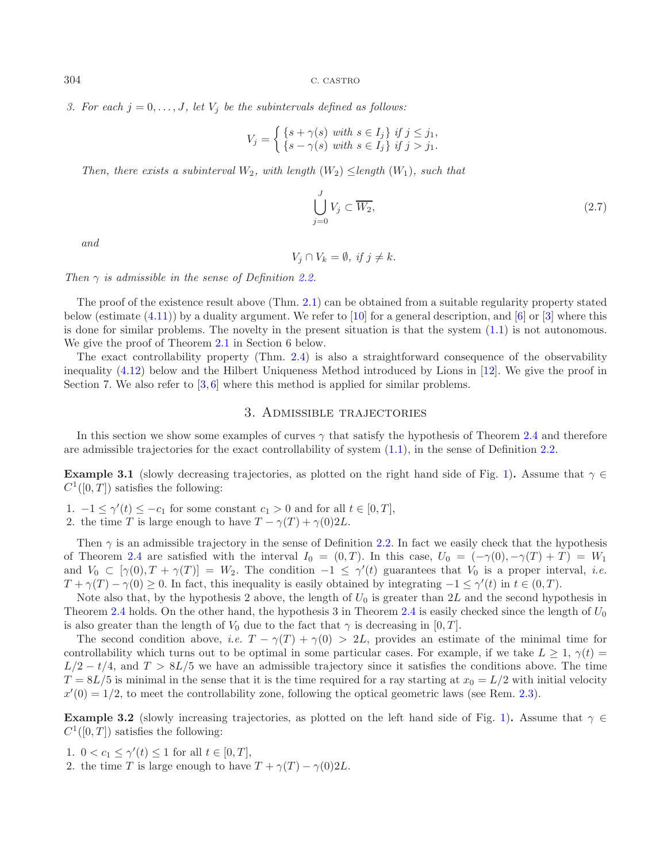*3. For each*  $j = 0, \ldots, J$ , let  $V_j$  be the subintervals defined as follows:

<span id="page-3-0"></span>
$$
V_j = \begin{cases} \{s + \gamma(s) \text{ with } s \in I_j\} & \text{if } j \leq j_1, \\ \{s - \gamma(s) \text{ with } s \in I_j\} & \text{if } j > j_1. \end{cases}
$$

*Then, there exists a subinterval*  $W_2$ *, with length*  $(W_2) \leq$ *length*  $(W_1)$ *, such that* 

$$
\bigcup_{j=0}^{J} V_j \subset \overline{W_2},\tag{2.7}
$$

*and*

 $V_i \cap V_k = \emptyset$ , if  $j \neq k$ .

*Then* γ *is admissible in the sense of Definition [2.2.](#page-2-1)*

The proof of the existence result above (Thm. [2.1\)](#page-2-2) can be obtained from a suitable regularity property stated below (estimate  $(4.11)$ ) by a duality argument. We refer to [\[10](#page-15-8)] for a general description, and [\[6](#page-15-9)] or [\[3\]](#page-15-10) where this is done for similar problems. The novelty in the present situation is that the system [\(1.1\)](#page-0-0) is not autonomous. We give the proof of Theorem [2.1](#page-2-2) in Section 6 below.

The exact controllability property (Thm. [2.4\)](#page-3-0) is also a straightforward consequence of the observability inequality [\(4.12\)](#page-7-1) below and the Hilbert Uniqueness Method introduced by Lions in [\[12\]](#page-15-0). We give the proof in Section 7. We also refer to  $[3, 6]$  $[3, 6]$  $[3, 6]$  where this method is applied for similar problems.

# 3. Admissible trajectories

In this section we show some examples of curves  $\gamma$  that satisfy the hypothesis of Theorem [2.4](#page-2-3) and therefore are admissible trajectories for the exact controllability of system [\(1.1\)](#page-0-0), in the sense of Definition [2.2.](#page-2-1)

**Example 3.1** (slowly decreasing trajectories, as plotted on the right hand side of Fig. [1\)](#page-4-0). Assume that  $\gamma \in$  $C^1([0,T])$  satisfies the following:

1.  $-1 \le \gamma'(t) \le -c_1$  for some constant  $c_1 > 0$  and for all  $t \in [0, T]$ ,

2. the time T is large enough to have  $T - \gamma(T) + \gamma(0)2L$ .

Then  $\gamma$  is an admissible trajectory in the sense of Definition [2.2.](#page-2-1) In fact we easily check that the hypothesis of Theorem [2.4](#page-2-3) are satisfied with the interval  $I_0 = (0,T)$ . In this case,  $U_0 = (-\gamma(0), -\gamma(T) + T) = W_1$ and  $V_0 \subset [\gamma(0), T + \gamma(T)] = W_2$ . The condition  $-1 \leq \gamma'(t)$  guarantees that  $V_0$  is a proper interval, *i.e.*  $T + \gamma(T) - \gamma(0) \geq 0$ . In fact, this inequality is easily obtained by integrating  $-1 \leq \gamma'(t)$  in  $t \in (0, T)$ .

Note also that, by the hypothesis 2 above, the length of  $U_0$  is greater than 2L and the second hypothesis in Theorem [2.4](#page-2-3) holds. On the other hand, the hypothesis 3 in Theorem 2.4 is easily checked since the length of  $U_0$ is also greater than the length of  $V_0$  due to the fact that  $\gamma$  is decreasing in [0, T].

The second condition above, *i.e.*  $T - \gamma(T) + \gamma(0) > 2L$ , provides an estimate of the minimal time for controllability which turns out to be optimal in some particular cases. For example, if we take  $L \geq 1$ ,  $\gamma(t)$  $L/2 - t/4$ , and  $T > 8L/5$  we have an admissible trajectory since it satisfies the conditions above. The time  $T = 8L/5$  is minimal in the sense that it is the time required for a ray starting at  $x_0 = L/2$  with initial velocity  $x'(0) = 1/2$ , to meet the controllability zone, following the optical geometric laws (see Rem. [2.3\)](#page-2-4).

**Example 3.2** (slowly increasing trajectories, as plotted on the left hand side of Fig. [1\)](#page-4-0). Assume that  $\gamma \in$  $C^1([0,T])$  satisfies the following:

1.  $0 < c_1 \leq \gamma'(t) \leq 1$  for all  $t \in [0, T]$ ,

2. the time T is large enough to have  $T + \gamma(T) - \gamma(0)2L$ .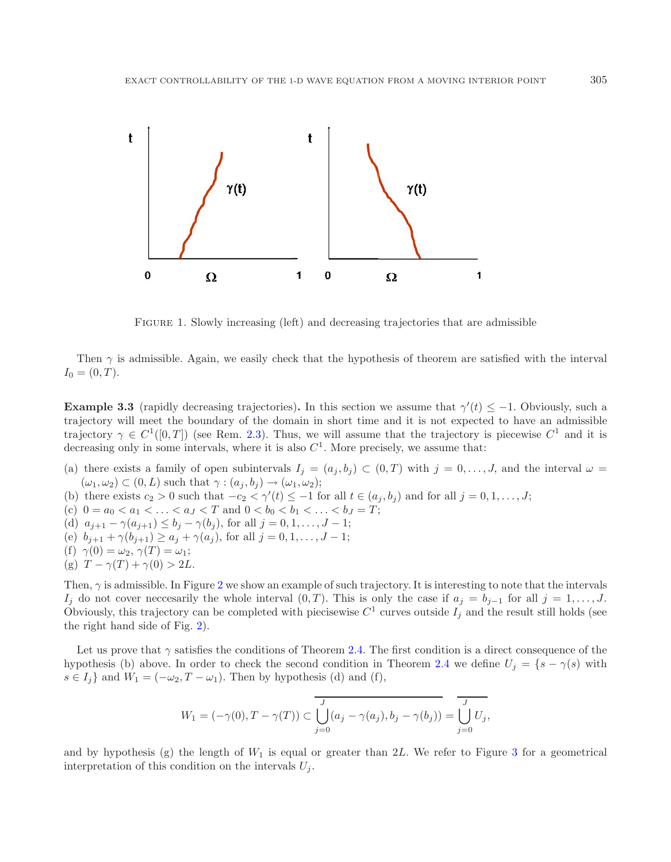<span id="page-4-0"></span>

Figure 1. Slowly increasing (left) and decreasing trajectories that are admissible

Then  $\gamma$  is admissible. Again, we easily check that the hypothesis of theorem are satisfied with the interval  $I_0 = (0, T)$ .

**Example 3.3** (rapidly decreasing trajectories). In this section we assume that  $\gamma'(t) \leq -1$ . Obviously, such a trajectory will meet the boundary of the domain in short time and it is not expected to have an admissible trajectory  $\gamma \in C^1([0,T])$  (see Rem. [2.3\)](#page-2-4). Thus, we will assume that the trajectory is piecewise  $C^1$  and it is decreasing only in some intervals, where it is also  $C<sup>1</sup>$ . More precisely, we assume that:

- (a) there exists a family of open subintervals  $I_j = (a_j, b_j) \subset (0, T)$  with  $j = 0, \ldots, J$ , and the interval  $\omega =$  $(\omega_1, \omega_2) \subset (0, L)$  such that  $\gamma : (a_i, b_i) \to (\omega_1, \omega_2)$ ;
- (b) there exists  $c_2 > 0$  such that  $-c_2 < \gamma'(t) \leq -1$  for all  $t \in (a_j, b_j)$  and for all  $j = 0, 1, ..., J$ ;
- (c)  $0 = a_0 < a_1 < \ldots < a_J < T$  and  $0 < b_0 < b_1 < \ldots < b_J = T$ ;
- (d)  $a_{j+1} \gamma(a_{j+1}) \leq b_j \gamma(b_j)$ , for all  $j = 0, 1, ..., J-1$ ;
- (e)  $b_{j+1} + \gamma(b_{j+1}) \ge a_j + \gamma(a_j)$ , for all  $j = 0, 1, ..., J-1$ ;
- (f)  $\gamma(0) = \omega_2, \gamma(T) = \omega_1;$
- (g)  $T \gamma(T) + \gamma(0) > 2L$ .

Then,  $\gamma$  is admissible. In Figure [2](#page-5-0) we show an example of such trajectory. It is interesting to note that the intervals Ij do not cover neccesarily the whole interval  $(0, T)$ . This is only the case if  $a_j = b_{j-1}$  for all  $j = 1, \ldots, J$ . Obviously, this trajectory can be completed with piecisewise  $C^1$  curves outside  $I_i$  and the result still holds (see the right hand side of Fig. [2\)](#page-5-0).

Let us prove that  $\gamma$  satisfies the conditions of Theorem [2.4.](#page-2-3) The first condition is a direct consequence of the hypothesis (b) above. In order to check the second condition in Theorem [2.4](#page-2-3) we define  $U_j = \{s - \gamma(s)$  with  $s \in I_i$  and  $W_1 = (-\omega_2, T - \omega_1)$ . Then by hypothesis (d) and (f),

$$
W_1 = (-\gamma(0), T - \gamma(T)) \subset \overline{\bigcup_{j=0}^J (a_j - \gamma(a_j), b_j - \gamma(b_j))} = \overline{\bigcup_{j=0}^J U_j},
$$

and by hypothesis (g) the length of  $W_1$  is equal or greater than 2L. We refer to Figure [3](#page-5-1) for a geometrical interpretation of this condition on the intervals  $U_j$ .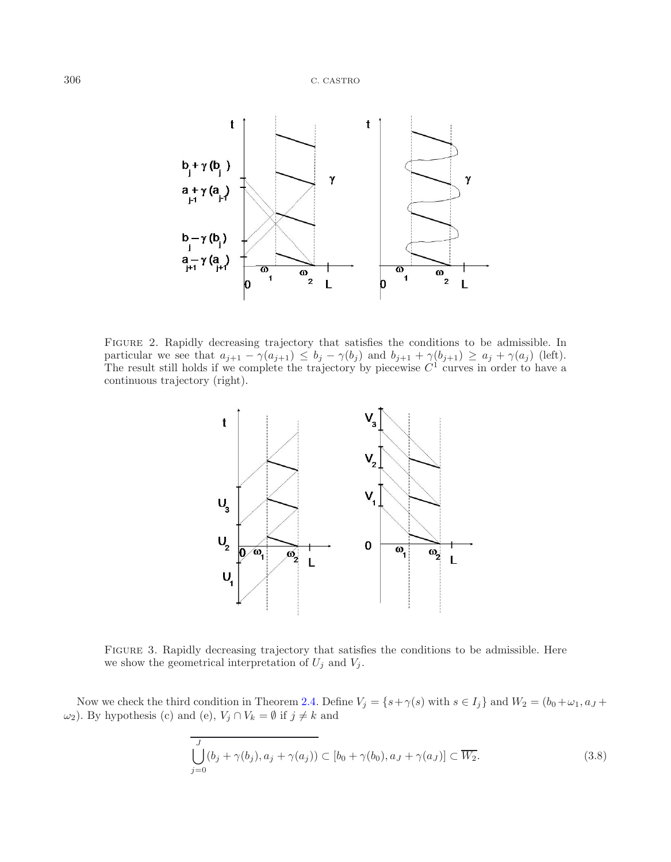<span id="page-5-0"></span>

Figure 2. Rapidly decreasing trajectory that satisfies the conditions to be admissible. In particular we see that  $a_{j+1} - \gamma(a_{j+1}) \leq b_j - \gamma(b_j)$  and  $b_{j+1} + \gamma(b_{j+1}) \geq a_j + \gamma(a_j)$  (left). The result still holds if we complete the trajectory by piecewise  $C<sup>1</sup>$  curves in order to have a continuous trajectory (right).

<span id="page-5-2"></span><span id="page-5-1"></span>

Figure 3. Rapidly decreasing trajectory that satisfies the conditions to be admissible. Here we show the geometrical interpretation of  $U_j$  and  $V_j$ .

Now we check the third condition in Theorem [2.4.](#page-2-3) Define  $V_j = \{s + \gamma(s) \text{ with } s \in I_j\}$  and  $W_2 = (b_0 + \omega_1, a_J + \omega_2)$ ω<sub>2</sub>). By hypothesis (c) and (e),  $V_j ∩ V_k = ∅$  if  $j ≠ k$  and

$$
\bigcup_{j=0}^{J} (b_j + \gamma(b_j), a_j + \gamma(a_j)) \subset [b_0 + \gamma(b_0), a_J + \gamma(a_J)] \subset \overline{W_2}.
$$
\n(3.8)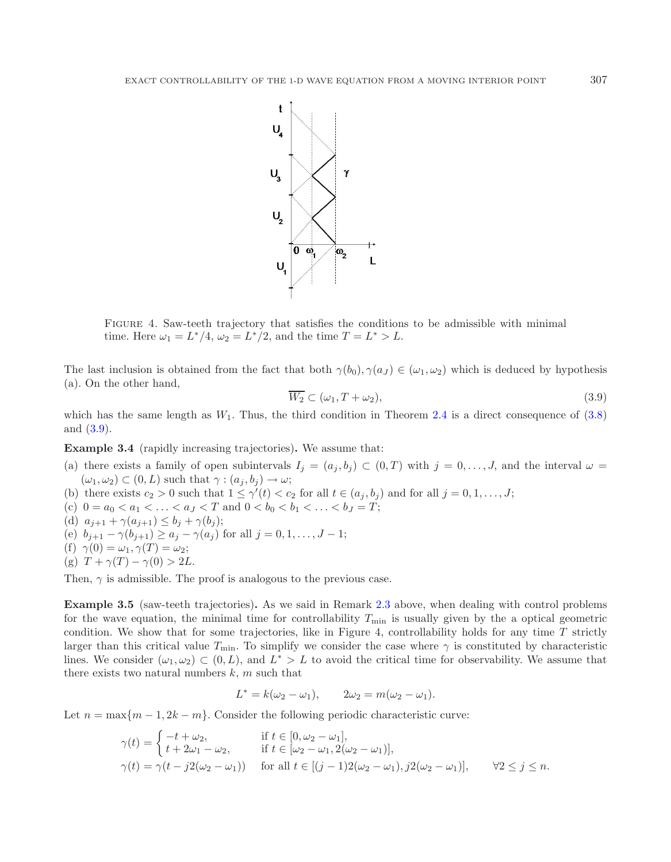

<span id="page-6-0"></span>Figure 4. Saw-teeth trajectory that satisfies the conditions to be admissible with minimal time. Here  $\omega_1 = L^*/4$ ,  $\omega_2 = L^*/2$ , and the time  $T = L^* > L$ .

The last inclusion is obtained from the fact that both  $\gamma(b_0), \gamma(a_J) \in (\omega_1, \omega_2)$  which is deduced by hypothesis (a). On the other hand,

$$
\overline{W_2} \subset (\omega_1, T + \omega_2), \tag{3.9}
$$

which has the same length as  $W_1$ . Thus, the third condition in Theorem [2.4](#page-2-3) is a direct consequence of [\(3.8\)](#page-5-2) and [\(3.9\)](#page-6-0).

**Example 3.4** (rapidly increasing trajectories)**.** We assume that:

- (a) there exists a family of open subintervals  $I_j = (a_j, b_j) \subset (0, T)$  with  $j = 0, \ldots, J$ , and the interval  $\omega =$  $(\omega_1, \omega_2) \subset (0, L)$  such that  $\gamma : (a_j, b_j) \to \omega;$
- (b) there exists  $c_2 > 0$  such that  $1 \leq \gamma'(t) < c_2$  for all  $t \in (a_j, b_j)$  and for all  $j = 0, 1, \ldots, J;$
- (c)  $0 = a_0 < a_1 < \ldots < a_J < T$  and  $0 < b_0 < b_1 < \ldots < b_J = T$ ;
- (d)  $a_{j+1} + \gamma(a_{j+1}) \leq b_j + \gamma(b_j);$
- (e)  $b_{j+1} \gamma(b_{j+1}) \ge a_j \gamma(a_j)$  for all  $j = 0, 1, ..., J-1$ ;
- (f)  $\gamma(0) = \omega_1, \gamma(T) = \omega_2;$
- (g)  $T + \gamma(T) \gamma(0) > 2L$ .

Then,  $\gamma$  is admissible. The proof is analogous to the previous case.

**Example 3.5** (saw-teeth trajectories). As we said in Remark [2.3](#page-2-4) above, when dealing with control problems for the wave equation, the minimal time for controllability  $T_{\text{min}}$  is usually given by the a optical geometric condition. We show that for some trajectories, like in Figure 4, controllability holds for any time  $T$  strictly larger than this critical value  $T_{\min}$ . To simplify we consider the case where  $\gamma$  is constituted by characteristic lines. We consider  $(\omega_1, \omega_2) \subset (0, L)$ , and  $L^* > L$  to avoid the critical time for observability. We assume that there exists two natural numbers  $k$ ,  $m$  such that

$$
L^* = k(\omega_2 - \omega_1), \qquad 2\omega_2 = m(\omega_2 - \omega_1).
$$

Let  $n = \max\{m-1, 2k-m\}$ . Consider the following periodic characteristic curve:

$$
\gamma(t) = \begin{cases}\n-t + \omega_2, & \text{if } t \in [0, \omega_2 - \omega_1], \\
t + 2\omega_1 - \omega_2, & \text{if } t \in [\omega_2 - \omega_1, 2(\omega_2 - \omega_1)], \\
\gamma(t) = \gamma(t - j2(\omega_2 - \omega_1)) & \text{for all } t \in [(j - 1)2(\omega_2 - \omega_1), j2(\omega_2 - \omega_1)],\n\end{cases} \quad \forall 2 \le j \le n.
$$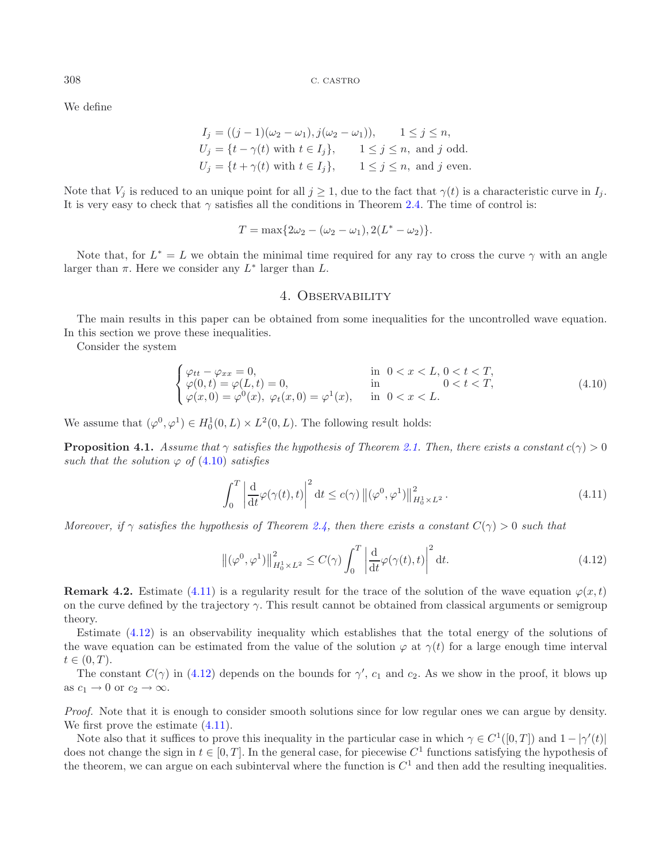We define

$$
I_j = ((j-1)(\omega_2 - \omega_1), j(\omega_2 - \omega_1)), \quad 1 \le j \le n,
$$
  
\n
$$
U_j = \{t - \gamma(t) \text{ with } t \in I_j\}, \quad 1 \le j \le n, \text{ and } j \text{ odd.}
$$
  
\n
$$
U_j = \{t + \gamma(t) \text{ with } t \in I_j\}, \quad 1 \le j \le n, \text{ and } j \text{ even.}
$$

<span id="page-7-2"></span>Note that  $V_j$  is reduced to an unique point for all  $j \geq 1$ , due to the fact that  $\gamma(t)$  is a characteristic curve in  $I_j$ . It is very easy to check that  $\gamma$  satisfies all the conditions in Theorem [2.4.](#page-2-3) The time of control is:

<span id="page-7-0"></span>
$$
T = \max\{2\omega_2 - (\omega_2 - \omega_1), 2(L^* - \omega_2)\}.
$$

Note that, for  $L^* = L$  we obtain the minimal time required for any ray to cross the curve  $\gamma$  with an angle larger than  $\pi$ . Here we consider any  $L^*$  larger than  $L$ .

### <span id="page-7-1"></span>4. Observability

The main results in this paper can be obtained from some inequalities for the uncontrolled wave equation. In this section we prove these inequalities.

Consider the system

$$
\begin{cases}\n\varphi_{tt} - \varphi_{xx} = 0, & \text{in } 0 < x < L, 0 < t < T, \\
\varphi(0, t) = \varphi(L, t) = 0, & \text{in } 0 < t < T, \\
\varphi(x, 0) = \varphi^{0}(x), \varphi_{t}(x, 0) = \varphi^{1}(x), & \text{in } 0 < x < L.\n\end{cases}
$$
\n(4.10)

<span id="page-7-3"></span>We assume that  $(\varphi^0, \varphi^1) \in H_0^1(0, L) \times L^2(0, L)$ . The following result holds:

**Proposition 4.1.** *Assume that*  $\gamma$  *satisfies the hypothesis of Theorem [2.1.](#page-2-2) Then, there exists a constant*  $c(\gamma) > 0$ *such that the solution*  $\varphi$  *of* [\(4.10\)](#page-7-2) *satisfies* 

$$
\int_0^T \left| \frac{d}{dt} \varphi(\gamma(t), t) \right|^2 dt \le c(\gamma) \left\| (\varphi^0, \varphi^1) \right\|_{H_0^1 \times L^2}^2.
$$
\n(4.11)

*Moreover, if*  $\gamma$  *satisfies the hypothesis of Theorem [2.4,](#page-3-0) then there exists a constant*  $C(\gamma) > 0$  *such that* 

$$
\left\|(\varphi^0, \varphi^1)\right\|_{H_0^1 \times L^2}^2 \le C(\gamma) \int_0^T \left| \frac{d}{dt} \varphi(\gamma(t), t) \right|^2 dt. \tag{4.12}
$$

**Remark 4.2.** Estimate [\(4.11\)](#page-7-0) is a regularity result for the trace of the solution of the wave equation  $\varphi(x, t)$ on the curve defined by the trajectory  $\gamma$ . This result cannot be obtained from classical arguments or semigroup theory.

Estimate [\(4.12\)](#page-7-1) is an observability inequality which establishes that the total energy of the solutions of the wave equation can be estimated from the value of the solution  $\varphi$  at  $\gamma(t)$  for a large enough time interval  $t \in (0, T)$ .

The constant  $C(\gamma)$  in [\(4.12\)](#page-7-1) depends on the bounds for  $\gamma'$ ,  $c_1$  and  $c_2$ . As we show in the proof, it blows up as  $c_1 \to 0$  or  $c_2 \to \infty$ .

*Proof.* Note that it is enough to consider smooth solutions since for low regular ones we can argue by density. We first prove the estimate  $(4.11)$ .

Note also that it suffices to prove this inequality in the particular case in which  $\gamma \in C^1([0,T])$  and  $1 - |\gamma'(t)|$ does not change the sign in  $t \in [0, T]$ . In the general case, for piecewise  $C<sup>1</sup>$  functions satisfying the hypothesis of the theorem, we can argue on each subinterval where the function is  $C<sup>1</sup>$  and then add the resulting inequalities.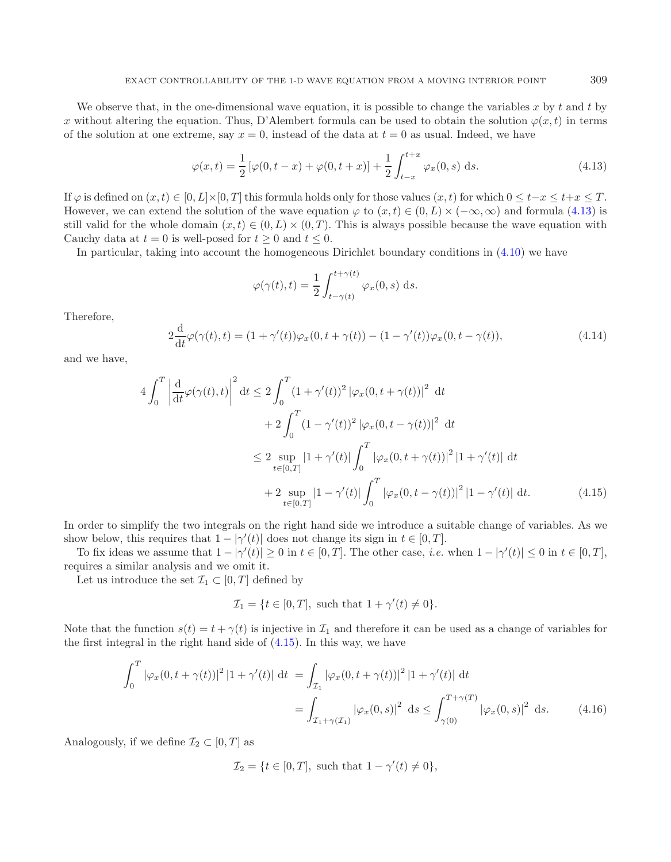<span id="page-8-2"></span>We observe that, in the one-dimensional wave equation, it is possible to change the variables  $x$  by  $t$  and  $t$  by x without altering the equation. Thus, D'Alembert formula can be used to obtain the solution  $\varphi(x, t)$  in terms of the solution at one extreme, say  $x = 0$ , instead of the data at  $t = 0$  as usual. Indeed, we have

<span id="page-8-0"></span>
$$
\varphi(x,t) = \frac{1}{2} \left[ \varphi(0, t - x) + \varphi(0, t + x) \right] + \frac{1}{2} \int_{t-x}^{t+x} \varphi_x(0, s) \, ds. \tag{4.13}
$$

If  $\varphi$  is defined on  $(x, t) \in [0, L] \times [0, T]$  this formula holds only for those values  $(x, t)$  for which  $0 \le t-x \le t+x \le T$ . However, we can extend the solution of the wave equation  $\varphi$  to  $(x, t) \in (0, L) \times (-\infty, \infty)$  and formula [\(4.13\)](#page-8-0) is still valid for the whole domain  $(x, t) \in (0, L) \times (0, T)$ . This is always possible because the wave equation with Cauchy data at  $t = 0$  is well-posed for  $t \geq 0$  and  $t \leq 0$ .

In particular, taking into account the homogeneous Dirichlet boundary conditions in [\(4.10\)](#page-7-2) we have

<span id="page-8-1"></span>
$$
\varphi(\gamma(t),t) = \frac{1}{2} \int_{t-\gamma(t)}^{t+\gamma(t)} \varphi_x(0,s) \, ds.
$$

Therefore,

$$
2\frac{\mathrm{d}}{\mathrm{d}t}\varphi(\gamma(t),t) = (1+\gamma'(t))\varphi_x(0,t+\gamma(t)) - (1-\gamma'(t))\varphi_x(0,t-\gamma(t)),\tag{4.14}
$$

and we have,

$$
4\int_0^T \left| \frac{d}{dt} \varphi(\gamma(t), t) \right|^2 dt \le 2\int_0^T (1 + \gamma'(t))^2 |\varphi_x(0, t + \gamma(t))|^2 dt + 2\int_0^T (1 - \gamma'(t))^2 |\varphi_x(0, t - \gamma(t))|^2 dt \le 2 \sup_{t \in [0, T]} |1 + \gamma'(t)| \int_0^T |\varphi_x(0, t + \gamma(t))|^2 |1 + \gamma'(t)| dt + 2 \sup_{t \in [0, T]} |1 - \gamma'(t)| \int_0^T |\varphi_x(0, t - \gamma(t))|^2 |1 - \gamma'(t)| dt.
$$
(4.15)

In order to simplify the two integrals on the right hand side we introduce a suitable change of variables. As we show below, this requires that  $1 - |\gamma'(t)|$  does not change its sign in  $t \in [0, T]$ .

To fix ideas we assume that  $1 - |\gamma'(t)| \ge 0$  in  $t \in [0, T]$ . The other case, *i.e.* when  $1 - |\gamma'(t)| \le 0$  in  $t \in [0, T]$ , requires a similar analysis and we omit it.

Let us introduce the set  $\mathcal{I}_1 \subset [0,T]$  defined by

$$
\mathcal{I}_1 = \{ t \in [0, T], \text{ such that } 1 + \gamma'(t) \neq 0 \}.
$$

Note that the function  $s(t) = t + \gamma(t)$  is injective in  $\mathcal{I}_1$  and therefore it can be used as a change of variables for the first integral in the right hand side of [\(4.15\)](#page-8-1). In this way, we have

$$
\int_0^T |\varphi_x(0, t + \gamma(t))|^2 |1 + \gamma'(t)| dt = \int_{\mathcal{I}_1} |\varphi_x(0, t + \gamma(t))|^2 |1 + \gamma'(t)| dt
$$
  
= 
$$
\int_{\mathcal{I}_1 + \gamma(\mathcal{I}_1)} |\varphi_x(0, s)|^2 ds \le \int_{\gamma(0)}^{T + \gamma(T)} |\varphi_x(0, s)|^2 ds. \tag{4.16}
$$

Analogously, if we define  $\mathcal{I}_2 \subset [0, T]$  as

$$
\mathcal{I}_2 = \{ t \in [0, T], \text{ such that } 1 - \gamma'(t) \neq 0 \},
$$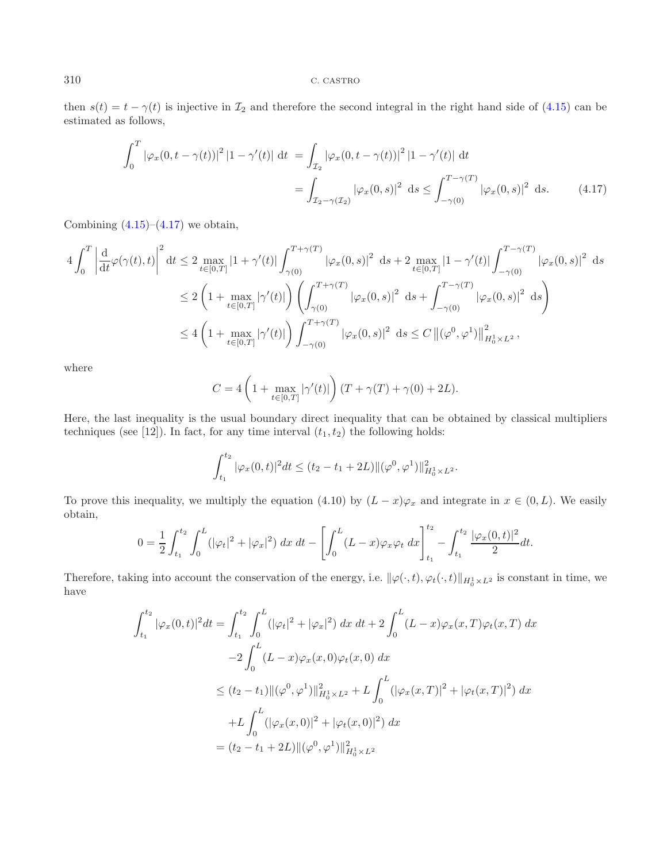<span id="page-9-0"></span>then  $s(t) = t - \gamma(t)$  is injective in  $\mathcal{I}_2$  and therefore the second integral in the right hand side of [\(4.15\)](#page-8-1) can be estimated as follows,

$$
\int_0^T |\varphi_x(0, t - \gamma(t))|^2 |1 - \gamma'(t)| dt = \int_{\mathcal{I}_2} |\varphi_x(0, t - \gamma(t))|^2 |1 - \gamma'(t)| dt
$$
  
= 
$$
\int_{\mathcal{I}_2 - \gamma(\mathcal{I}_2)} |\varphi_x(0, s)|^2 ds \le \int_{-\gamma(0)}^{T - \gamma(T)} |\varphi_x(0, s)|^2 ds. \tag{4.17}
$$

Combining  $(4.15)$ – $(4.17)$  we obtain,

$$
4\int_0^T \left| \frac{d}{dt} \varphi(\gamma(t),t) \right|^2 dt \le 2 \max_{t \in [0,T]} |1 + \gamma'(t)| \int_{\gamma(0)}^{T+\gamma(T)} |\varphi_x(0,s)|^2 ds + 2 \max_{t \in [0,T]} |1 - \gamma'(t)| \int_{-\gamma(0)}^{T-\gamma(T)} |\varphi_x(0,s)|^2 ds
$$
  

$$
\le 2 \left( 1 + \max_{t \in [0,T]} |\gamma'(t)| \right) \left( \int_{\gamma(0)}^{T+\gamma(T)} |\varphi_x(0,s)|^2 ds + \int_{-\gamma(0)}^{T-\gamma(T)} |\varphi_x(0,s)|^2 ds \right)
$$
  

$$
\le 4 \left( 1 + \max_{t \in [0,T]} |\gamma'(t)| \right) \int_{-\gamma(0)}^{T+\gamma(T)} |\varphi_x(0,s)|^2 ds \le C \left\| (\varphi^0, \varphi^1) \right\|_{H_0^1 \times L^2}^2,
$$

where

$$
C = 4\left(1 + \max_{t \in [0,T]} |\gamma'(t)|\right) (T + \gamma(T) + \gamma(0) + 2L).
$$

Here, the last inequality is the usual boundary direct inequality that can be obtained by classical multipliers techniques (see [12]). In fact, for any time interval  $(t_1, t_2)$  the following holds:

$$
\int_{t_1}^{t_2} |\varphi_x(0,t)|^2 dt \le (t_2 - t_1 + 2L) ||(\varphi^0, \varphi^1)||_{H_0^1 \times L^2}^2.
$$

To prove this inequality, we multiply the equation (4.10) by  $(L - x)\varphi_x$  and integrate in  $x \in (0, L)$ . We easily obtain,

$$
0 = \frac{1}{2} \int_{t_1}^{t_2} \int_0^L (|\varphi_t|^2 + |\varphi_x|^2) \, dx \, dt - \left[ \int_0^L (L-x) \varphi_x \varphi_t \, dx \right]_{t_1}^{t_2} - \int_{t_1}^{t_2} \frac{|\varphi_x(0,t)|^2}{2} dt.
$$

Therefore, taking into account the conservation of the energy, i.e.  $\|\varphi(\cdot,t), \varphi_t(\cdot,t)\|_{H_0^1 \times L^2}$  is constant in time, we have

$$
\int_{t_1}^{t_2} |\varphi_x(0,t)|^2 dt = \int_{t_1}^{t_2} \int_0^L (|\varphi_t|^2 + |\varphi_x|^2) dx dt + 2 \int_0^L (L-x)\varphi_x(x,T)\varphi_t(x,T) dx
$$
  

$$
-2 \int_0^L (L-x)\varphi_x(x,0)\varphi_t(x,0) dx
$$
  

$$
\leq (t_2 - t_1) ||(\varphi^0, \varphi^1)||^2_{H_0^1 \times L^2} + L \int_0^L (|\varphi_x(x,T)|^2 + |\varphi_t(x,T)|^2) dx
$$
  

$$
+L \int_0^L (|\varphi_x(x,0)|^2 + |\varphi_t(x,0)|^2) dx
$$
  

$$
= (t_2 - t_1 + 2L) ||(\varphi^0, \varphi^1)||^2_{H_0^1 \times L^2}
$$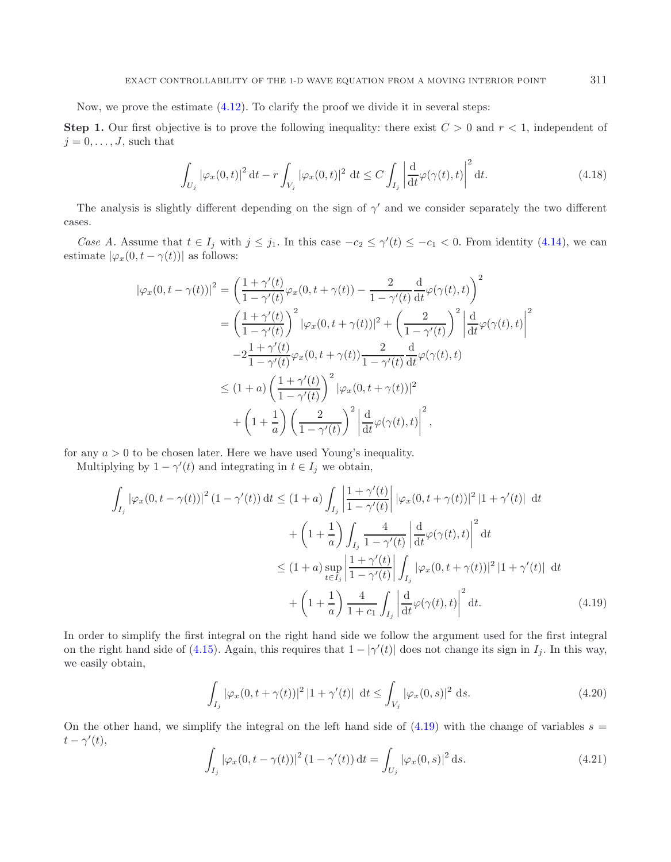Now, we prove the estimate [\(4.12\)](#page-7-1). To clarify the proof we divide it in several steps:

**Step 1.** Our first objective is to prove the following inequality: there exist  $C > 0$  and  $r < 1$ , independent of  $j = 0, \ldots, J$ , such that

$$
\int_{U_j} |\varphi_x(0,t)|^2 dt - r \int_{V_j} |\varphi_x(0,t)|^2 dt \le C \int_{I_j} \left| \frac{d}{dt} \varphi(\gamma(t),t) \right|^2 dt.
$$
\n(4.18)

<span id="page-10-2"></span>The analysis is slightly different depending on the sign of  $\gamma'$  and we consider separately the two different cases.

*Case A.* Assume that  $t \in I_j$  with  $j \leq j_1$ . In this case  $-c_2 \leq \gamma'(t) \leq -c_1 < 0$ . From identity [\(4.14\)](#page-8-2), we can estimate  $|\varphi_x(0, t - \gamma(t))|$  as follows:

$$
\begin{split}\n|\varphi_x(0, t - \gamma(t))|^2 &= \left(\frac{1 + \gamma'(t)}{1 - \gamma'(t)}\varphi_x(0, t + \gamma(t)) - \frac{2}{1 - \gamma'(t)}\frac{d}{dt}\varphi(\gamma(t), t)\right)^2 \\
&= \left(\frac{1 + \gamma'(t)}{1 - \gamma'(t)}\right)^2 |\varphi_x(0, t + \gamma(t))|^2 + \left(\frac{2}{1 - \gamma'(t)}\right)^2 \left|\frac{d}{dt}\varphi(\gamma(t), t)\right|^2 \\
&\quad - 2\frac{1 + \gamma'(t)}{1 - \gamma'(t)}\varphi_x(0, t + \gamma(t))\frac{2}{1 - \gamma'(t)}\frac{d}{dt}\varphi(\gamma(t), t) \\
&\leq (1 + a)\left(\frac{1 + \gamma'(t)}{1 - \gamma'(t)}\right)^2 |\varphi_x(0, t + \gamma(t))|^2 \\
&\quad + \left(1 + \frac{1}{a}\right) \left(\frac{2}{1 - \gamma'(t)}\right)^2 \left|\frac{d}{dt}\varphi(\gamma(t), t)\right|^2,\n\end{split}
$$

<span id="page-10-0"></span>for any  $a > 0$  to be chosen later. Here we have used Young's inequality.

Multiplying by  $1 - \gamma'(t)$  and integrating in  $t \in I_j$  we obtain,

$$
\int_{I_j} |\varphi_x(0, t - \gamma(t))|^2 (1 - \gamma'(t)) dt \le (1 + a) \int_{I_j} \left| \frac{1 + \gamma'(t)}{1 - \gamma'(t)} \right| |\varphi_x(0, t + \gamma(t))|^2 |1 + \gamma'(t)| dt
$$
  
+ 
$$
\left(1 + \frac{1}{a}\right) \int_{I_j} \frac{4}{1 - \gamma'(t)} \left| \frac{d}{dt} \varphi(\gamma(t), t) \right|^2 dt
$$
  

$$
\le (1 + a) \sup_{t \in I_j} \left| \frac{1 + \gamma'(t)}{1 - \gamma'(t)} \right| \int_{I_j} |\varphi_x(0, t + \gamma(t))|^2 |1 + \gamma'(t)| dt
$$
  
+ 
$$
\left(1 + \frac{1}{a}\right) \frac{4}{1 + c_1} \int_{I_j} \left| \frac{d}{dt} \varphi(\gamma(t), t) \right|^2 dt.
$$
 (4.19)

<span id="page-10-1"></span>In order to simplify the first integral on the right hand side we follow the argument used for the first integral on the right hand side of [\(4.15\)](#page-8-1). Again, this requires that  $1 - |\gamma'(t)|$  does not change its sign in  $I_j$ . In this way, we easily obtain,

$$
\int_{I_j} |\varphi_x(0, t + \gamma(t))|^2 |1 + \gamma'(t)| \, dt \le \int_{V_j} |\varphi_x(0, s)|^2 \, ds. \tag{4.20}
$$

On the other hand, we simplify the integral on the left hand side of  $(4.19)$  with the change of variables  $s =$  $t - \gamma'(t)$ ,

$$
\int_{I_j} \left| \varphi_x(0, t - \gamma(t)) \right|^2 (1 - \gamma'(t)) dt = \int_{U_j} \left| \varphi_x(0, s) \right|^2 ds. \tag{4.21}
$$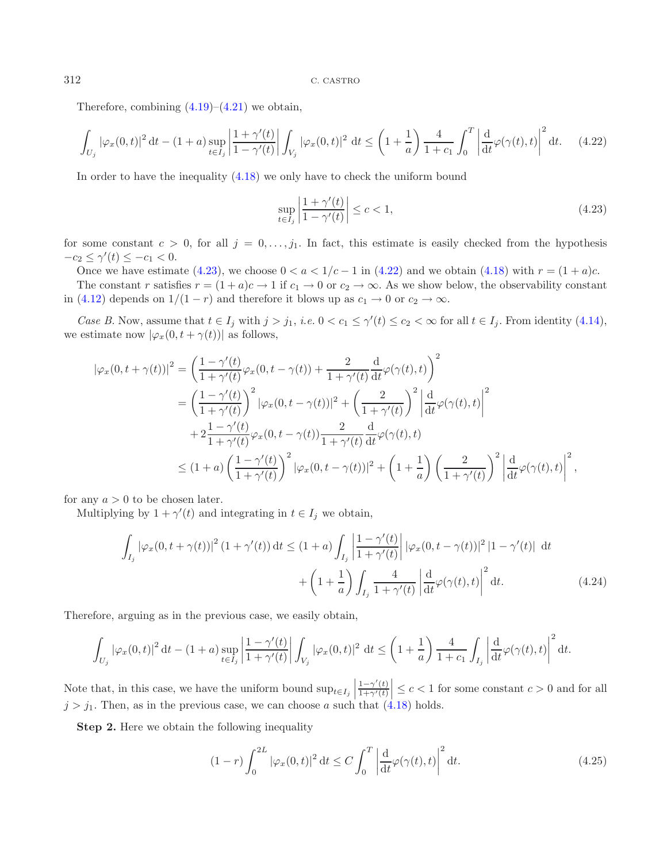Therefore, combining  $(4.19)$ – $(4.21)$  we obtain,

$$
\int_{U_j} |\varphi_x(0,t)|^2 dt - (1+a) \sup_{t \in I_j} \left| \frac{1+\gamma'(t)}{1-\gamma'(t)} \right| \int_{V_j} |\varphi_x(0,t)|^2 dt \le \left(1+\frac{1}{a}\right) \frac{4}{1+c_1} \int_0^T \left| \frac{d}{dt} \varphi(\gamma(t),t) \right|^2 dt. \tag{4.22}
$$

In order to have the inequality [\(4.18\)](#page-10-2) we only have to check the uniform bound

<span id="page-11-0"></span>
$$
\sup_{t \in I_j} \left| \frac{1 + \gamma'(t)}{1 - \gamma'(t)} \right| \le c < 1,\tag{4.23}
$$

for some constant  $c > 0$ , for all  $j = 0, \ldots, j_1$ . In fact, this estimate is easily checked from the hypothesis  $-c_2 \le \gamma'(t) \le -c_1 < 0.$ 

Once we have estimate [\(4.23\)](#page-11-0), we choose  $0 < a < 1/c - 1$  in [\(4.22\)](#page-11-1) and we obtain [\(4.18\)](#page-10-2) with  $r = (1 + a)c$ . The constant r satisfies  $r = (1 + a)c \rightarrow 1$  if  $c_1 \rightarrow 0$  or  $c_2 \rightarrow \infty$ . As we show below, the observability constant in [\(4.12\)](#page-7-1) depends on  $1/(1 - r)$  and therefore it blows up as  $c_1 \rightarrow 0$  or  $c_2 \rightarrow \infty$ .

*Case B.* Now, assume that  $t \in I_j$  with  $j > j_1$ , *i.e.*  $0 < c_1 \leq \gamma'(t) \leq c_2 < \infty$  for all  $t \in I_j$ . From identity [\(4.14\)](#page-8-2), we estimate now  $|\varphi_x(0, t + \gamma(t))|$  as follows,

$$
\begin{split}\n|\varphi_x(0, t + \gamma(t))|^2 &= \left(\frac{1 - \gamma'(t)}{1 + \gamma'(t)}\varphi_x(0, t - \gamma(t)) + \frac{2}{1 + \gamma'(t)}\frac{d}{dt}\varphi(\gamma(t), t)\right)^2 \\
&= \left(\frac{1 - \gamma'(t)}{1 + \gamma'(t)}\right)^2 |\varphi_x(0, t - \gamma(t))|^2 + \left(\frac{2}{1 + \gamma'(t)}\right)^2 \left|\frac{d}{dt}\varphi(\gamma(t), t)\right|^2 \\
&+ 2\frac{1 - \gamma'(t)}{1 + \gamma'(t)}\varphi_x(0, t - \gamma(t))\frac{2}{1 + \gamma'(t)}\frac{d}{dt}\varphi(\gamma(t), t) \\
&\leq (1 + a)\left(\frac{1 - \gamma'(t)}{1 + \gamma'(t)}\right)^2 |\varphi_x(0, t - \gamma(t))|^2 + \left(1 + \frac{1}{a}\right)\left(\frac{2}{1 + \gamma'(t)}\right)^2 \left|\frac{d}{dt}\varphi(\gamma(t), t)\right|^2,\n\end{split}
$$

for any  $a > 0$  to be chosen later.

Multiplying by  $1 + \gamma'(t)$  and integrating in  $t \in I_j$  we obtain,

<span id="page-11-2"></span>
$$
\int_{I_j} |\varphi_x(0, t + \gamma(t))|^2 (1 + \gamma'(t)) dt \le (1 + a) \int_{I_j} \left| \frac{1 - \gamma'(t)}{1 + \gamma'(t)} \right| |\varphi_x(0, t - \gamma(t))|^2 |1 - \gamma'(t)| dt
$$
  
+ 
$$
\left(1 + \frac{1}{a}\right) \int_{I_j} \frac{4}{1 + \gamma'(t)} \left| \frac{d}{dt} \varphi(\gamma(t), t) \right|^2 dt.
$$
 (4.24)

Therefore, arguing as in the previous case, we easily obtain,

$$
\int_{U_j} |\varphi_x(0,t)|^2 dt - (1+a) \sup_{t \in I_j} \left| \frac{1-\gamma'(t)}{1+\gamma'(t)} \right| \int_{V_j} |\varphi_x(0,t)|^2 dt \le \left(1+\frac{1}{a}\right) \frac{4}{1+c_1} \int_{I_j} \left| \frac{d}{dt} \varphi(\gamma(t),t) \right|^2 dt.
$$

Note that, in this case, we have the uniform bound  $\sup_{t \in I_j}$  $1-\gamma'(t)$  $\left|\frac{1-\gamma'(t)}{1+\gamma'(t)}\right| \leq c < 1$  for some constant  $c > 0$  and for all  $j > j_1$ . Then, as in the previous case, we can choose a such that [\(4.18\)](#page-10-2) holds.

**Step 2.** Here we obtain the following inequality

$$
(1-r)\int_0^{2L} |\varphi_x(0,t)|^2 dt \le C \int_0^T \left| \frac{d}{dt} \varphi(\gamma(t),t) \right|^2 dt.
$$
 (4.25)

<span id="page-11-1"></span>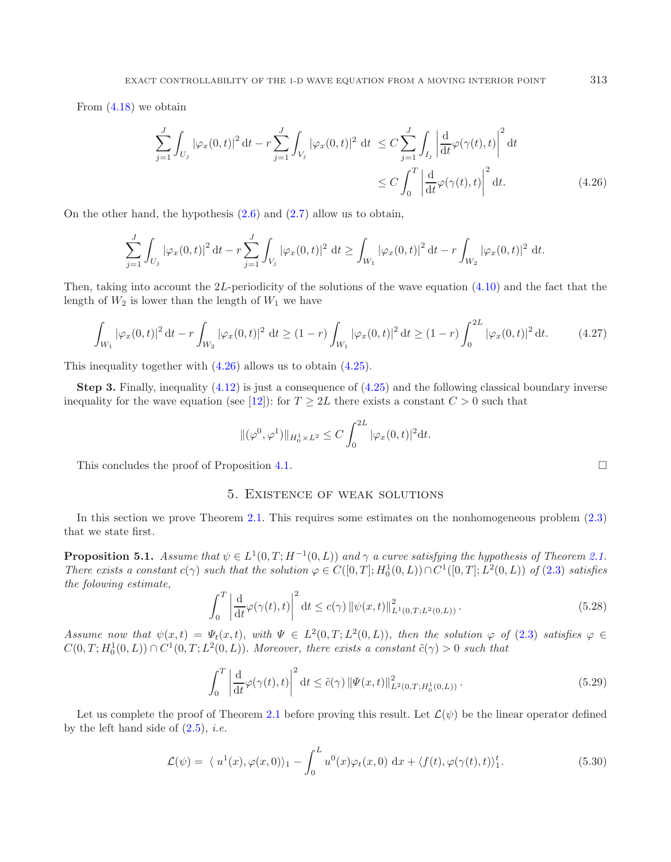<span id="page-12-0"></span>From [\(4.18\)](#page-10-2) we obtain

$$
\sum_{j=1}^{J} \int_{U_j} |\varphi_x(0,t)|^2 dt - r \sum_{j=1}^{J} \int_{V_j} |\varphi_x(0,t)|^2 dt \le C \sum_{j=1}^{J} \int_{I_j} \left| \frac{d}{dt} \varphi(\gamma(t),t) \right|^2 dt
$$
  

$$
\le C \int_0^T \left| \frac{d}{dt} \varphi(\gamma(t),t) \right|^2 dt.
$$
 (4.26)

On the other hand, the hypothesis  $(2.6)$  and  $(2.7)$  allow us to obtain,

$$
\sum_{j=1}^{J} \int_{U_j} |\varphi_x(0,t)|^2 dt - r \sum_{j=1}^{J} \int_{V_j} |\varphi_x(0,t)|^2 dt \ge \int_{W_1} |\varphi_x(0,t)|^2 dt - r \int_{W_2} |\varphi_x(0,t)|^2 dt.
$$

Then, taking into account the 2L-periodicity of the solutions of the wave equation  $(4.10)$  and the fact that the length of  $W_2$  is lower than the length of  $W_1$  we have

$$
\int_{W_1} |\varphi_x(0,t)|^2 dt - r \int_{W_2} |\varphi_x(0,t)|^2 dt \ge (1-r) \int_{W_1} |\varphi_x(0,t)|^2 dt \ge (1-r) \int_0^{2L} |\varphi_x(0,t)|^2 dt. \tag{4.27}
$$

This inequality together with [\(4.26\)](#page-12-0) allows us to obtain [\(4.25\)](#page-11-2).

<span id="page-12-1"></span>**Step 3.** Finally, inequality [\(4.12\)](#page-7-1) is just a consequence of [\(4.25\)](#page-11-2) and the following classical boundary inverse inequality for the wave equation (see [\[12](#page-15-0)]): for  $T \geq 2L$  there exists a constant  $C > 0$  such that

$$
\|(\varphi^0, \varphi^1)\|_{H_0^1 \times L^2} \le C \int_0^{2L} |\varphi_x(0, t)|^2 dt.
$$

This concludes the proof of Proposition [4.1.](#page-7-3)  $\Box$ 

## 5. Existence of weak solutions

<span id="page-12-2"></span>In this section we prove Theorem [2.1.](#page-2-2) This requires some estimates on the nonhomogeneous problem [\(2.3\)](#page-1-0) that we state first.

**Proposition 5.1.** *Assume that*  $\psi \in L^1(0,T;H^{-1}(0,L))$  *and*  $\gamma$  *a curve satisfying the hypothesis of Theorem [2.1.](#page-2-2) There exists a constant*  $c(\gamma)$  *such that the solution*  $\varphi \in C([0,T]; H_0^1(0,L)) \cap C^1([0,T]; L^2(0,L))$  *of* [\(2.3\)](#page-1-0) *satisfies the folowing estimate,*

$$
\int_0^T \left| \frac{d}{dt} \varphi(\gamma(t), t) \right|^2 dt \le c(\gamma) \left\| \psi(x, t) \right\|_{L^1(0, T; L^2(0, L))}^2.
$$
\n(5.28)

*Assume now that*  $\psi(x,t) = \Psi_t(x,t)$ *, with*  $\Psi \in L^2(0,T;L^2(0,L))$ *, then the solution*  $\varphi$  *of* [\(2.3\)](#page-1-0) *satisfies*  $\varphi \in$  $C(0,T; H_0^1(0,L)) \cap C^1(0,T; L^2(0,L))$ . Moreover, there exists a constant  $\tilde{c}(\gamma) > 0$  such that

$$
\int_0^T \left| \frac{\mathrm{d}}{\mathrm{d}t} \varphi(\gamma(t), t) \right|^2 \mathrm{d}t \le \tilde{c}(\gamma) \left\| \Psi(x, t) \right\|_{L^2(0, T; H_0^1(0, L))}^2. \tag{5.29}
$$

Let us complete the proof of Theorem [2.1](#page-2-2) before proving this result. Let  $\mathcal{L}(\psi)$  be the linear operator defined by the left hand side of [\(2.5\)](#page-2-0), *i.e.*

$$
\mathcal{L}(\psi) = \langle u^1(x), \varphi(x, 0) \rangle_1 - \int_0^L u^0(x) \varphi_t(x, 0) \, dx + \langle f(t), \varphi(\gamma(t), t) \rangle_1^t. \tag{5.30}
$$

<span id="page-12-3"></span>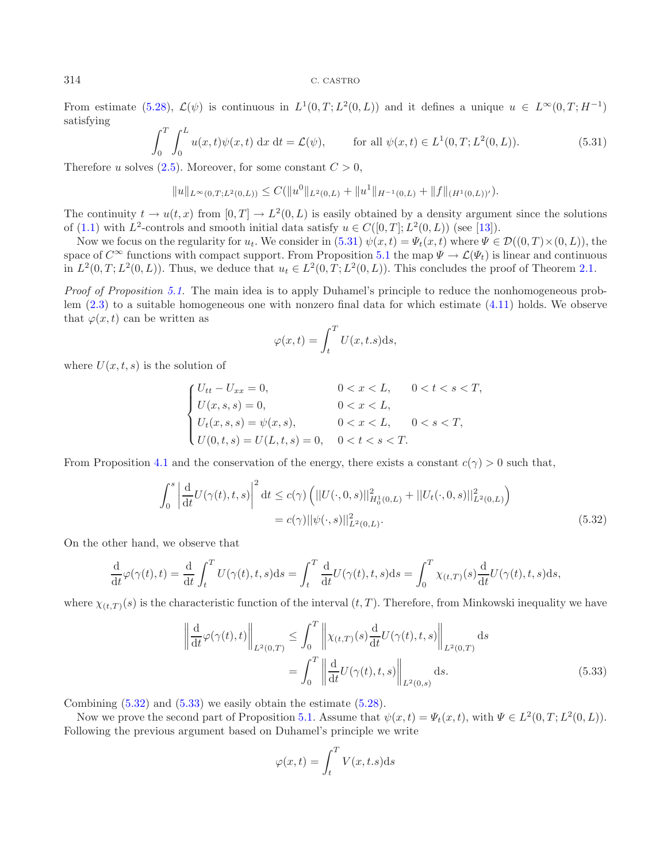From estimate [\(5.28\)](#page-12-1),  $\mathcal{L}(\psi)$  is continuous in  $L^1(0,T;L^2(0,L))$  and it defines a unique  $u \in L^{\infty}(0,T;H^{-1})$ satisfying

$$
\int_0^T \int_0^L u(x,t)\psi(x,t) \, \mathrm{d}x \, \mathrm{d}t = \mathcal{L}(\psi), \qquad \text{for all } \psi(x,t) \in L^1(0,T;L^2(0,L)). \tag{5.31}
$$

Therefore u solves  $(2.5)$ . Moreover, for some constant  $C > 0$ ,

$$
||u||_{L^{\infty}(0,T;L^{2}(0,L))} \leq C(||u^{0}||_{L^{2}(0,L)} + ||u^{1}||_{H^{-1}(0,L)} + ||f||_{(H^{1}(0,L))^{\prime}}).
$$

The continuity  $t \to u(t, x)$  from  $[0, T] \to L^2(0, L)$  is easily obtained by a density argument since the solutions of [\(1.1\)](#page-0-0) with  $L^2$ -controls and smooth initial data satisfy  $u \in C([0,T];L^2(0,L))$  (see [\[13](#page-15-3)]).

Now we focus on the regularity for  $u_t$ . We consider in [\(5.31\)](#page-13-0)  $\psi(x,t) = \Psi_t(x,t)$  where  $\Psi \in \mathcal{D}((0,T) \times (0,L))$ , the space of  $C^{\infty}$  functions with compact support. From Proposition [5.1](#page-12-2) the map  $\Psi \to \mathcal{L}(\Psi_t)$  is linear and continuous in  $L^2(0,T;L^2(0,L))$ . Thus, we deduce that  $u_t \in L^2(0,T;L^2(0,L))$ . This concludes the proof of Theorem [2.1.](#page-2-2)

*Proof of Proposition [5.1.](#page-12-2)* The main idea is to apply Duhamel's principle to reduce the nonhomogeneous problem [\(2.3\)](#page-1-0) to a suitable homogeneous one with nonzero final data for which estimate [\(4.11\)](#page-7-0) holds. We observe that  $\varphi(x, t)$  can be written as

$$
\varphi(x,t) = \int_t^T U(x,t.s) \mathrm{d}s,
$$

where  $U(x, t, s)$  is the solution of

$$
\begin{cases}\nU_{tt} - U_{xx} = 0, & 0 < x < L, & 0 < t < s < T, \\
U(x, s, s) = 0, & 0 < x < L, \\
U_t(x, s, s) = \psi(x, s), & 0 < x < L, & 0 < s < T, \\
U(0, t, s) = U(L, t, s) = 0, & 0 < t < s < T.\n\end{cases}
$$

<span id="page-13-1"></span>From Proposition [4.1](#page-7-3) and the conservation of the energy, there exists a constant  $c(\gamma) > 0$  such that,

$$
\int_0^s \left| \frac{d}{dt} U(\gamma(t), t, s) \right|^2 dt \le c(\gamma) \left( ||U(\cdot, 0, s)||^2_{H_0^1(0, L)} + ||U_t(\cdot, 0, s)||^2_{L^2(0, L)} \right)
$$
  
= c(\gamma) ||\psi(\cdot, s)||^2\_{L^2(0, L)}. (5.32)

On the other hand, we observe that

$$
\frac{\mathrm{d}}{\mathrm{d}t}\varphi(\gamma(t),t) = \frac{\mathrm{d}}{\mathrm{d}t}\int_t^T U(\gamma(t),t,s)\mathrm{d}s = \int_t^T \frac{\mathrm{d}}{\mathrm{d}t}U(\gamma(t),t,s)\mathrm{d}s = \int_0^T \chi_{(t,T)}(s)\frac{\mathrm{d}}{\mathrm{d}t}U(\gamma(t),t,s)\mathrm{d}s,
$$

<span id="page-13-2"></span>where  $\chi_{(t,T)}(s)$  is the characteristic function of the interval  $(t,T)$ . Therefore, from Minkowski inequality we have

$$
\left\| \frac{\mathrm{d}}{\mathrm{d}t} \varphi(\gamma(t), t) \right\|_{L^2(0,T)} \leq \int_0^T \left\| \chi_{(t,T)}(s) \frac{\mathrm{d}}{\mathrm{d}t} U(\gamma(t), t, s) \right\|_{L^2(0,T)} \mathrm{d}s
$$
\n
$$
= \int_0^T \left\| \frac{\mathrm{d}}{\mathrm{d}t} U(\gamma(t), t, s) \right\|_{L^2(0,s)} \mathrm{d}s. \tag{5.33}
$$

Combining [\(5.32\)](#page-13-1) and [\(5.33\)](#page-13-2) we easily obtain the estimate [\(5.28\)](#page-12-1).

Now we prove the second part of Proposition [5.1.](#page-12-2) Assume that  $\psi(x,t) = \Psi_t(x,t)$ , with  $\Psi \in L^2(0,T; L^2(0,L))$ . Following the previous argument based on Duhamel's principle we write

$$
\varphi(x,t) = \int_t^T V(x,t.s) \mathrm{d} s
$$

<span id="page-13-0"></span>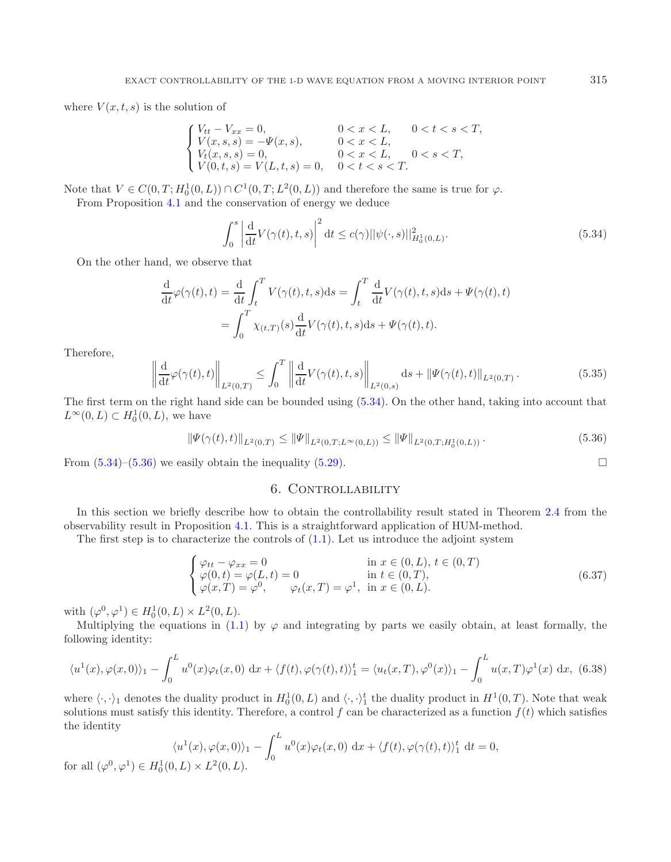where  $V(x, t, s)$  is the solution of

<span id="page-14-0"></span>
$$
\begin{cases} V_{tt}-V_{xx}=0, & 0 < x < L, \quad 0 < t < s < T, \\ V(x,s,s)=-\Psi(x,s), & 0 < x < L, \\ V_t(x,s,s)=0, & 0 < x < L, \quad 0 < s < T, \\ V(0,t,s)=V(L,t,s)=0, & 0 < t < s < T. \end{cases}
$$

Note that  $V \in C(0, T; H_0^1(0, L)) \cap C^1(0, T; L^2(0, L))$  and therefore the same is true for  $\varphi$ .

From Proposition [4.1](#page-7-3) and the conservation of energy we deduce

$$
\int_0^s \left| \frac{d}{dt} V(\gamma(t), t, s) \right|^2 dt \le c(\gamma) ||\psi(\cdot, s)||^2_{H_0^1(0, L)}.
$$
\n(5.34)

On the other hand, we observe that

$$
\frac{d}{dt}\varphi(\gamma(t),t) = \frac{d}{dt}\int_t^T V(\gamma(t),t,s)ds = \int_t^T \frac{d}{dt}V(\gamma(t),t,s)ds + \Psi(\gamma(t),t)
$$

$$
= \int_0^T \chi_{(t,T)}(s)\frac{d}{dt}V(\gamma(t),t,s)ds + \Psi(\gamma(t),t).
$$

Therefore,

for all  $(\varphi^0,$ 

$$
\left\| \frac{d}{dt} \varphi(\gamma(t), t) \right\|_{L^2(0,T)} \le \int_0^T \left\| \frac{d}{dt} V(\gamma(t), t, s) \right\|_{L^2(0,s)} ds + \left\| \Psi(\gamma(t), t) \right\|_{L^2(0,T)}.
$$
\n(5.35)

The first term on the right hand side can be bounded using [\(5.34\)](#page-14-0). On the other hand, taking into account that  $L^{\infty}(0,L) \subset H_0^1(0,L)$ , we have

$$
\|\Psi(\gamma(t),t)\|_{L^2(0,T)} \le \|\Psi\|_{L^2(0,T;L^\infty(0,L))} \le \|\Psi\|_{L^2(0,T;H_0^1(0,L))}.
$$
\n(5.36)

<span id="page-14-1"></span>From  $(5.34)$ – $(5.36)$  we easily obtain the inequality  $(5.29)$ .

# 6. CONTROLLABILITY

In this section we briefly describe how to obtain the controllability result stated in Theorem [2.4](#page-2-3) from the observability result in Proposition [4.1.](#page-7-3) This is a straightforward application of HUM-method.

The first step is to characterize the controls of  $(1.1)$ . Let us introduce the adjoint system

$$
\begin{cases}\n\varphi_{tt} - \varphi_{xx} = 0 & \text{in } x \in (0, L), t \in (0, T) \\
\varphi(0, t) = \varphi(L, t) = 0 & \text{in } t \in (0, T), \\
\varphi(x, T) = \varphi^0, & \varphi_t(x, T) = \varphi^1, \text{in } x \in (0, L).\n\end{cases}
$$
\n(6.37)

with  $(\varphi^0, \varphi^1) \in H_0^1(0, L) \times L^2(0, L)$ .

Multiplying the equations in [\(1.1\)](#page-0-0) by  $\varphi$  and integrating by parts we easily obtain, at least formally, the following identity:

$$
\langle u^1(x), \varphi(x,0) \rangle_1 - \int_0^L u^0(x) \varphi_t(x,0) \, dx + \langle f(t), \varphi(\gamma(t),t) \rangle_1^t = \langle u_t(x,T), \varphi^0(x) \rangle_1 - \int_0^L u(x,T) \varphi^1(x) \, dx, \tag{6.38}
$$

where  $\langle \cdot, \cdot \rangle_1$  denotes the duality product in  $H_0^1(0, L)$  and  $\langle \cdot, \cdot \rangle_1^t$  the duality product in  $H^1(0, T)$ . Note that weak solutions must satisfy this identity. Therefore, a control f can be characterized as a function  $f(t)$  which satisfies the identity

$$
\langle u^1(x), \varphi(x, 0) \rangle_1 - \int_0^L u^0(x) \varphi_t(x, 0) \, dx + \langle f(t), \varphi(\gamma(t), t) \rangle_1^t \, dt = 0,
$$
  

$$
\varphi^1) \in H_0^1(0, L) \times L^2(0, L).
$$

<span id="page-14-2"></span> $\Box$